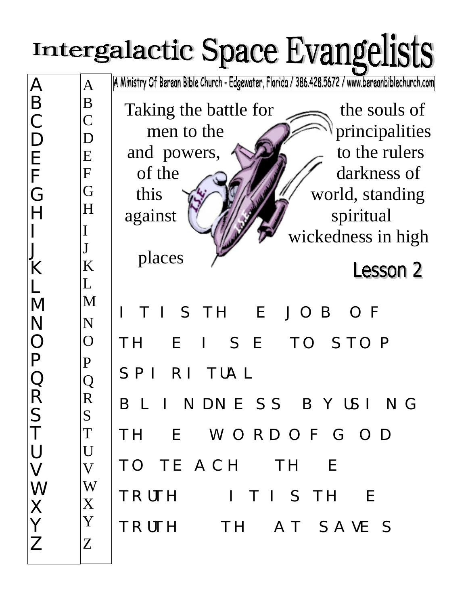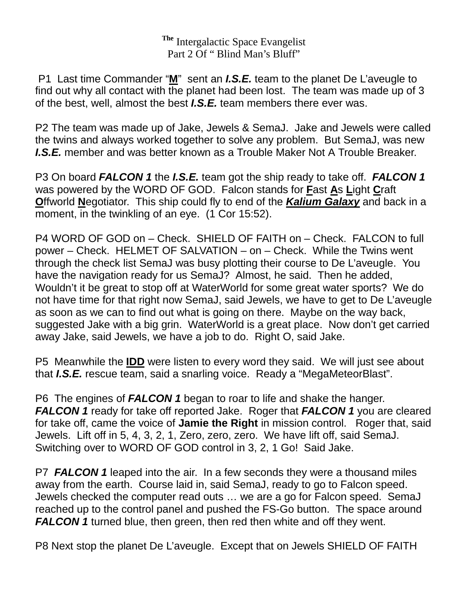**The** Intergalactic Space Evangelist Part 2 Of " Blind Man's Bluff"

 P1 Last time Commander "**M**" sent an *I.S.E.* team to the planet De L'aveugle to find out why all contact with the planet had been lost. The team was made up of 3 of the best, well, almost the best *I.S.E.* team members there ever was.

P2 The team was made up of Jake, Jewels & SemaJ. Jake and Jewels were called the twins and always worked together to solve any problem. But SemaJ, was new *I.S.E.* member and was better known as a Trouble Maker Not A Trouble Breaker.

P3 On board *FALCON 1* the *I.S.E.* team got the ship ready to take off. *FALCON 1* was powered by the WORD OF GOD. Falcon stands for **F**ast **A**s **L**ight **C**raft **O**ffworld **N**egotiator. This ship could fly to end of the *Kalium Galaxy* and back in a moment, in the twinkling of an eye. (1 Cor 15:52).

P4 WORD OF GOD on – Check. SHIELD OF FAITH on – Check. FALCON to full power – Check. HELMET OF SALVATION – on – Check. While the Twins went through the check list SemaJ was busy plotting their course to De L'aveugle. You have the navigation ready for us SemaJ? Almost, he said. Then he added, Wouldn't it be great to stop off at WaterWorld for some great water sports? We do not have time for that right now SemaJ, said Jewels, we have to get to De L'aveugle as soon as we can to find out what is going on there. Maybe on the way back, suggested Jake with a big grin. WaterWorld is a great place. Now don't get carried away Jake, said Jewels, we have a job to do. Right O, said Jake.

P5 Meanwhile the **IDD** were listen to every word they said. We will just see about that *I.S.E.* rescue team, said a snarling voice. Ready a "MegaMeteorBlast".

P6 The engines of *FALCON 1* began to roar to life and shake the hanger. *FALCON 1* ready for take off reported Jake. Roger that *FALCON 1* you are cleared for take off, came the voice of **Jamie the Right** in mission control. Roger that, said Jewels. Lift off in 5, 4, 3, 2, 1, Zero, zero, zero. We have lift off, said SemaJ. Switching over to WORD OF GOD control in 3, 2, 1 Go! Said Jake.

P7 *FALCON 1* leaped into the air. In a few seconds they were a thousand miles away from the earth. Course laid in, said SemaJ, ready to go to Falcon speed. Jewels checked the computer read outs … we are a go for Falcon speed. SemaJ reached up to the control panel and pushed the FS-Go button. The space around **FALCON 1** turned blue, then green, then red then white and off they went.

P8 Next stop the planet De L'aveugle. Except that on Jewels SHIELD OF FAITH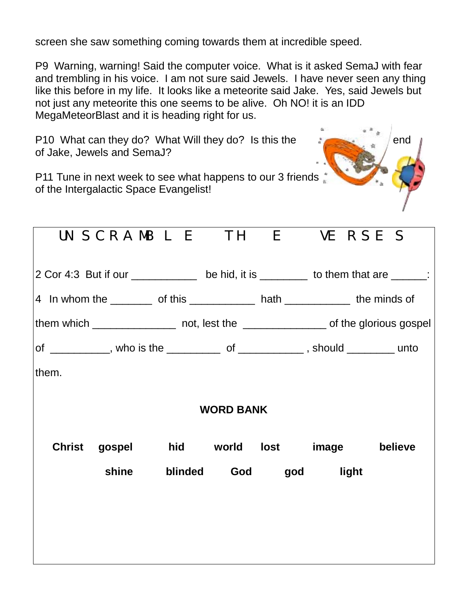screen she saw something coming towards them at incredible speed.

P9 Warning, warning! Said the computer voice. What is it asked SemaJ with fear and trembling in his voice. I am not sure said Jewels. I have never seen any thing like this before in my life. It looks like a meteorite said Jake. Yes, said Jewels but not just any meteorite this one seems to be alive. Oh NO! it is an IDD MegaMeteorBlast and it is heading right for us.

P10 What can they do? What Will they do? Is this the ending of the end of Jake, Jewels and SemaJ?



P11 Tune in next week to see what happens to our 3 friends of the Intergalactic Space Evangelist!

| UNSCRAMBLE THE VERSES                                                                    |                             |                 |  |       |  |         |
|------------------------------------------------------------------------------------------|-----------------------------|-----------------|--|-------|--|---------|
| 2 Cor 4:3 But if our _____________ be hid, it is ________ to them that are _____:        |                             |                 |  |       |  |         |
| 4 In whom the ___________ of this _______________ hath _______________ the minds of      |                             |                 |  |       |  |         |
| them which ___________________ not, lest the ____________________ of the glorious gospel |                             |                 |  |       |  |         |
| of ___________, who is the ____________ of _____________, should _________ unto          |                             |                 |  |       |  |         |
| them.                                                                                    |                             |                 |  |       |  |         |
| <b>WORD BANK</b>                                                                         |                             |                 |  |       |  |         |
| <b>Christ</b>                                                                            | gospel hid world lost image |                 |  |       |  | believe |
|                                                                                          | shine                       | blinded God god |  | light |  |         |
|                                                                                          |                             |                 |  |       |  |         |
|                                                                                          |                             |                 |  |       |  |         |
|                                                                                          |                             |                 |  |       |  |         |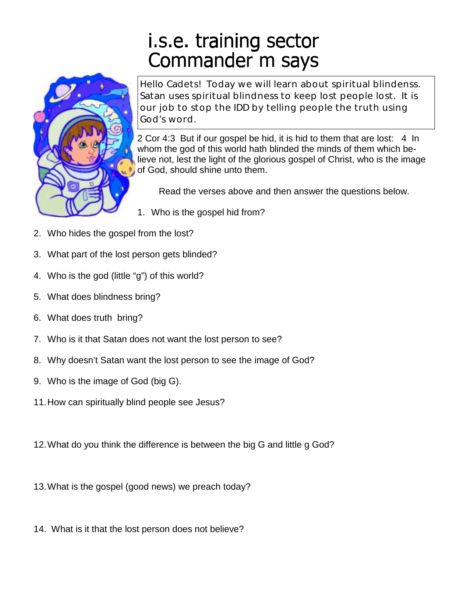## i.s.e. training sector Commander m says



Hello Cadets! Today we will learn about spiritual blindenss. Satan uses spiritual blindness to keep lost people lost. It is our job to stop the IDD by telling people the truth using God's word.

2 Cor 4:3 But if our gospel be hid, it is hid to them that are lost: 4 In whom the god of this world hath blinded the minds of them which believe not, lest the light of the glorious gospel of Christ, who is the image of God, should shine unto them.

Read the verses above and then answer the questions below.

- 1. Who is the gospel hid from?
- 2. Who hides the gospel from the lost?
- 3. What part of the lost person gets blinded?
- 4. Who is the god (little "g") of this world?
- 5. What does blindness bring?
- 6. What does truth bring?
- 7. Who is it that Satan does not want the lost person to see?
- 8. Why doesn't Satan want the lost person to see the image of God?
- 9. Who is the image of God (big G).
- 11.How can spiritually blind people see Jesus?
- 12.What do you think the difference is between the big G and little g God?
- 13.What is the gospel (good news) we preach today?
- 14. What is it that the lost person does not believe?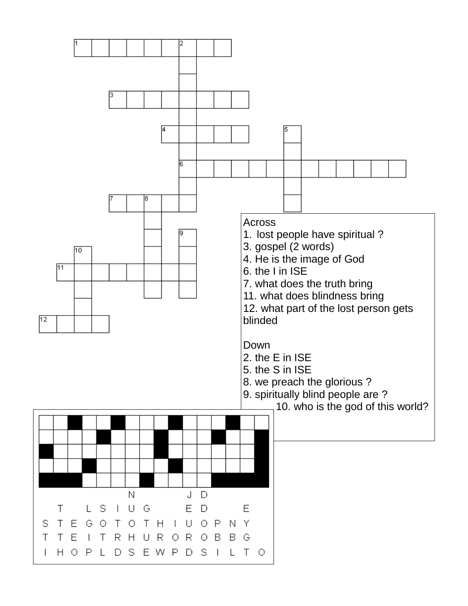